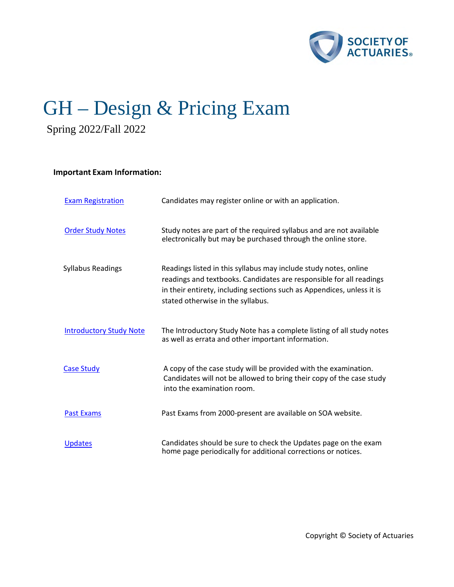

# GH – Design & Pricing Exam Spring 2022/Fall 2022

## **Important Exam Information:**

| <b>Exam Registration</b>       | Candidates may register online or with an application.                                                                                                                                                                                                 |
|--------------------------------|--------------------------------------------------------------------------------------------------------------------------------------------------------------------------------------------------------------------------------------------------------|
| <b>Order Study Notes</b>       | Study notes are part of the required syllabus and are not available<br>electronically but may be purchased through the online store.                                                                                                                   |
| <b>Syllabus Readings</b>       | Readings listed in this syllabus may include study notes, online<br>readings and textbooks. Candidates are responsible for all readings<br>in their entirety, including sections such as Appendices, unless it is<br>stated otherwise in the syllabus. |
| <b>Introductory Study Note</b> | The Introductory Study Note has a complete listing of all study notes<br>as well as errata and other important information.                                                                                                                            |
| <b>Case Study</b>              | A copy of the case study will be provided with the examination.<br>Candidates will not be allowed to bring their copy of the case study<br>into the examination room.                                                                                  |
| <b>Past Exams</b>              | Past Exams from 2000-present are available on SOA website.                                                                                                                                                                                             |
| <b>Updates</b>                 | Candidates should be sure to check the Updates page on the exam<br>home page periodically for additional corrections or notices.                                                                                                                       |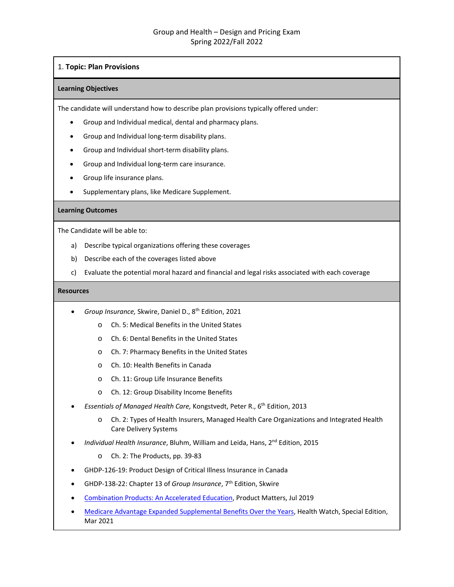## 1. **Topic: Plan Provisions**

### **Learning Objectives**

The candidate will understand how to describe plan provisions typically offered under:

- Group and Individual medical, dental and pharmacy plans.
- Group and Individual long-term disability plans.
- Group and Individual short-term disability plans.
- Group and Individual long-term care insurance.
- Group life insurance plans.
- Supplementary plans, like Medicare Supplement.

## **Learning Outcomes**

The Candidate will be able to:

- a) Describe typical organizations offering these coverages
- b) Describe each of the coverages listed above
- c) Evaluate the potential moral hazard and financial and legal risks associated with each coverage

- *Group Insurance,* Skwire, Daniel D., 8th Edition, 2021
	- o Ch. 5: Medical Benefits in the United States
	- o Ch. 6: Dental Benefits in the United States
	- o Ch. 7: Pharmacy Benefits in the United States
	- o Ch. 10: Health Benefits in Canada
	- o Ch. 11: Group Life Insurance Benefits
	- o Ch. 12: Group Disability Income Benefits
- *Essentials of Managed Health Care,* Kongstvedt, Peter R., 6th Edition, 2013
	- o Ch. 2: Types of Health Insurers, Managed Health Care Organizations and Integrated Health Care Delivery Systems
- *Individual Health Insurance*, Bluhm, William and Leida, Hans, 2nd Edition, 2015
	- o Ch. 2: The Products, pp. 39-83
- GHDP-126-19: Product Design of Critical Illness Insurance in Canada
- GHDP-138-22: Chapter 13 of *Group Insurance*, 7th Edition, Skwire
- [Combination Products: An Accelerated Education,](https://www.soa.org/globalassets/assets/library/newsletters/product-development-news/2019/july/pro-2019-iss113-eaton.pdf) Product Matters, Jul 2019
- [Medicare Advantage Expanded Supplemental Benefits Over the Years,](https://www.soa.org/sections/health/health-newsletter/2021/march-special/hw-2021-03-sp-lee/) Health Watch, Special Edition, Mar 2021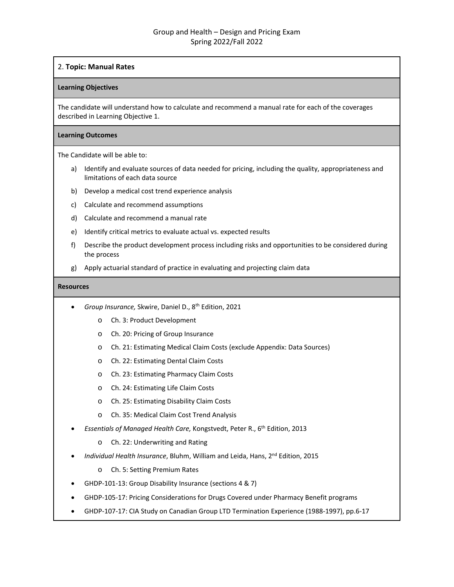## 2. **Topic: Manual Rates**

### **Learning Objectives**

The candidate will understand how to calculate and recommend a manual rate for each of the coverages described in Learning Objective 1.

### **Learning Outcomes**

The Candidate will be able to:

- a) Identify and evaluate sources of data needed for pricing, including the quality, appropriateness and limitations of each data source
- b) Develop a medical cost trend experience analysis
- c) Calculate and recommend assumptions
- d) Calculate and recommend a manual rate
- e) Identify critical metrics to evaluate actual vs. expected results
- f) Describe the product development process including risks and opportunities to be considered during the process
- g) Apply actuarial standard of practice in evaluating and projecting claim data

- *Group Insurance,* Skwire, Daniel D., 8th Edition, 2021
	- o Ch. 3: Product Development
	- o Ch. 20: Pricing of Group Insurance
	- o Ch. 21: Estimating Medical Claim Costs (exclude Appendix: Data Sources)
	- o Ch. 22: Estimating Dental Claim Costs
	- o Ch. 23: Estimating Pharmacy Claim Costs
	- o Ch. 24: Estimating Life Claim Costs
	- o Ch. 25: Estimating Disability Claim Costs
	- o Ch. 35: Medical Claim Cost Trend Analysis
- *Essentials of Managed Health Care,* Kongstvedt, Peter R., 6th Edition, 2013
	- o Ch. 22: Underwriting and Rating
- *Individual Health Insurance*, Bluhm, William and Leida, Hans, 2nd Edition, 2015
	- o Ch. 5: Setting Premium Rates
- GHDP-101-13: Group Disability Insurance (sections 4 & 7)
- GHDP-105-17: Pricing Considerations for Drugs Covered under Pharmacy Benefit programs
- GHDP-107-17: CIA Study on Canadian Group LTD Termination Experience (1988-1997), pp.6-17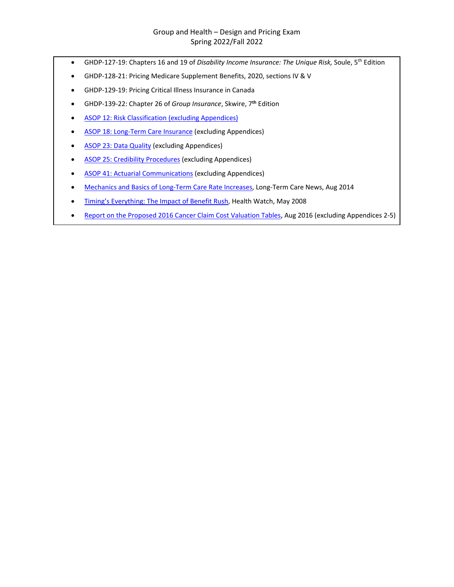- GHDP-127-19: Chapters 16 and 19 of *Disability Income Insurance: The Unique Risk,* Soule, 5th Edition
- GHDP-128-21: Pricing Medicare Supplement Benefits, 2020, sections IV & V
- GHDP-129-19: Pricing Critical Illness Insurance in Canada
- GHDP-139-22: Chapter 26 of *Group Insurance*, Skwire, 7**th** Edition
- [ASOP 12: Risk Classification](http://www.actuarialstandardsboard.org/pdf/asops/asop012_132.pdf) (excluding Appendices)
- [ASOP 18: Long-Term Care Insurance](http://www.actuarialstandardsboard.org/wp-content/uploads/2014/02/asop018_136.pdf) (excluding Appendices)
- [ASOP 23: Data Quality](http://www.actuarialstandardsboard.org/wp-content/uploads/2017/01/asop023_185.pdf) (excluding Appendices)
- [ASOP 25: Credibility Procedures](http://www.actuarialstandardsboard.org/pdf/asops/asop025_174.pdf) (excluding Appendices)
- [ASOP 41: Actuarial Communications](http://www.actuarialstandardsboard.org/pdf/asops/asop041_120.pdf) (excluding Appendices)
- [Mechanics and Basics of Long-Term Care Rate Increases,](https://www.soa.org/Library/Newsletters/Long-Term-Care/2014/august/ltc-2014-iss36-gordon.aspx) Long-Term Care News, Aug 2014
- [Timing's Everything: The Impact of Benefit Rush,](http://www.soa.org/library/newsletters/health-watch-newsletter/2008/may/hsn-2008-iss58.pdf) Health Watch, May 2008
- [Report on the Proposed 2016 Cancer Claim Cost Valuation Tables,](http://www.naic.org/documents/committees_b_ha_tf_exposure_cancer_tables_report.pdf) Aug 2016 (excluding Appendices 2-5)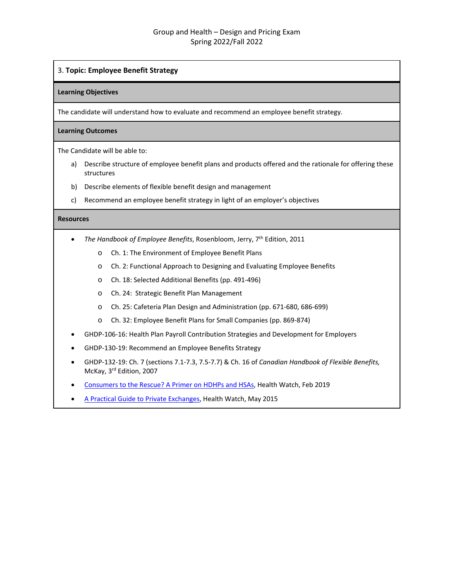## 3. **Topic: Employee Benefit Strategy**

#### **Learning Objectives**

The candidate will understand how to evaluate and recommend an employee benefit strategy.

## **Learning Outcomes**

The Candidate will be able to:

- a) Describe structure of employee benefit plans and products offered and the rationale for offering these structures
- b) Describe elements of flexible benefit design and management
- c) Recommend an employee benefit strategy in light of an employer's objectives

- *The Handbook of Employee Benefits*, Rosenbloom, Jerry, 7th Edition, 2011
	- o Ch. 1: The Environment of Employee Benefit Plans
	- o Ch. 2: Functional Approach to Designing and Evaluating Employee Benefits
	- o Ch. 18: Selected Additional Benefits (pp. 491-496)
	- o Ch. 24: Strategic Benefit Plan Management
	- o Ch. 25: Cafeteria Plan Design and Administration (pp. 671-680, 686-699)
	- o Ch. 32: Employee Benefit Plans for Small Companies (pp. 869-874)
- GHDP-106-16: Health Plan Payroll Contribution Strategies and Development for Employers
- GHDP-130-19: Recommend an Employee Benefits Strategy
- GHDP-132-19: Ch. 7 (sections 7.1-7.3, 7.5-7.7) & Ch. 16 of *Canadian Handbook of Flexible Benefits,* McKay, 3rd Edition, 2007
- [Consumers to the Rescue? A Primer on HDHPs and HSAs,](https://www.soa.org/globalassets/assets/library/newsletters/health-watch-newsletter/2019/february/hsn-2019-iss88-busch.pdf) Health Watch, Feb 2019
- [A Practical Guide to Private Exchanges,](https://www.soa.org/Library/Newsletters/Health-Watch-Newsletter/2015/may/hsn-2015-iss-78-shelton-petta.pdf) Health Watch, May 2015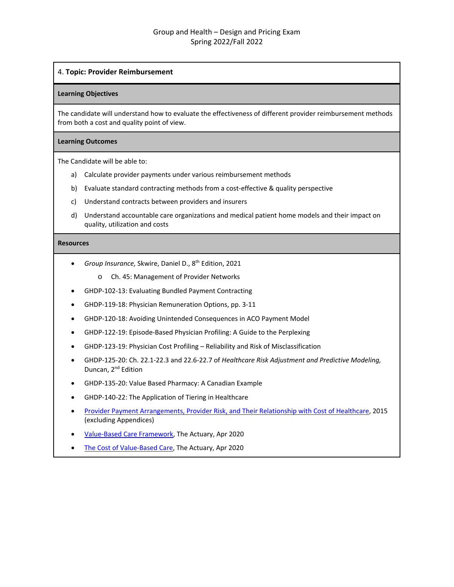### 4. **Topic: Provider Reimbursement**

#### **Learning Objectives**

The candidate will understand how to evaluate the effectiveness of different provider reimbursement methods from both a cost and quality point of view.

#### **Learning Outcomes**

The Candidate will be able to:

- a) Calculate provider payments under various reimbursement methods
- b) Evaluate standard contracting methods from a cost-effective & quality perspective
- c) Understand contracts between providers and insurers
- d) Understand accountable care organizations and medical patient home models and their impact on quality, utilization and costs

- *Group Insurance,* Skwire, Daniel D., 8th Edition, 2021
	- o Ch. 45: Management of Provider Networks
- GHDP-102-13: Evaluating Bundled Payment Contracting
- GHDP-119-18: Physician Remuneration Options, pp. 3-11
- GHDP-120-18: Avoiding Unintended Consequences in ACO Payment Model
- GHDP-122-19: Episode-Based Physician Profiling: A Guide to the Perplexing
- GHDP-123-19: Physician Cost Profiling Reliability and Risk of Misclassification
- GHDP-125-20: Ch. 22.1-22.3 and 22.6-22.7 of *Healthcare Risk Adjustment and Predictive Modeling,* Duncan, 2<sup>nd</sup> Edition
- GHDP-135-20: Value Based Pharmacy: A Canadian Example
- GHDP-140-22: The Application of Tiering in Healthcare
- [Provider Payment Arrangements, Provider Risk, and Their Relationship with Cost of Healthcare,](https://www.soa.org/Files/Research/Projects/research-2015-10-provider-payment-report.pdf) 2015 (excluding Appendices)
- [Value-Based Care Framework,](https://theactuarymagazine.org/value-based-care-framework/) The Actuary, Apr 2020
- [The Cost of Value-Based Care,](https://theactuarymagazine.org/the-cost-of-value-based-care/) The Actuary, Apr 2020